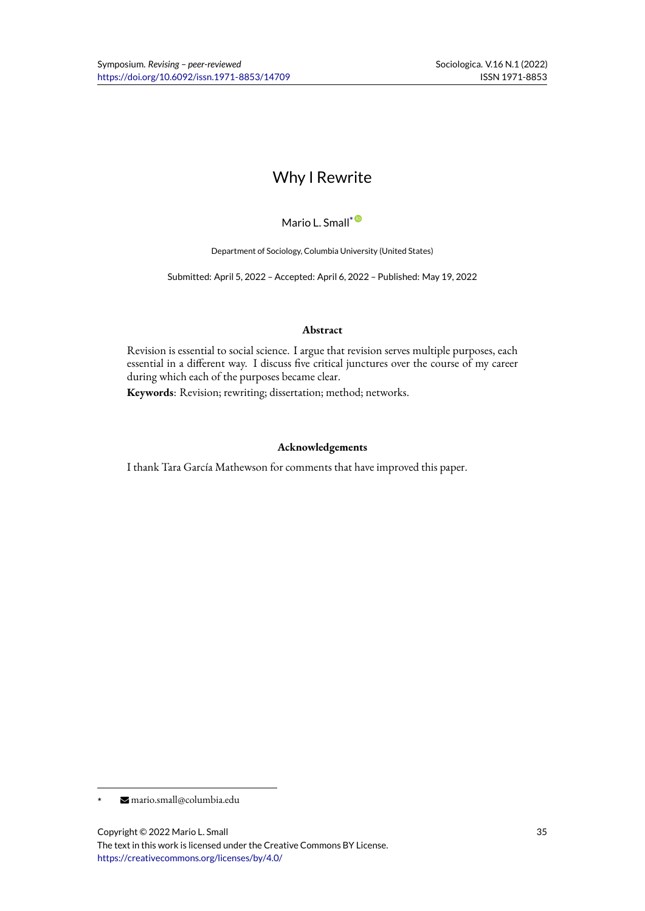# Why I Rewrite

Mario L. Small\*<sup>®</sup>

Department of Sociology, Columbia University (United States)

Submitted: April 5, 2022 – Accepted: April 6, 2[02](https://orcid.org/0000-0003-0601-1045)2 – Published: May 19, 2022

#### **Abstract**

Revision is essential to social science. I argue that revision serves multiple purposes, each essential in a different way. I discuss five critical junctures over the course of my career during which each of the purposes became clear.

**Keywords**: Revision; rewriting; dissertation; method; networks.

### **Acknowledgements**

I thank Tara García Mathewson for comments that have improved this paper.

<sup>\*</sup> mario.small@columbia.edu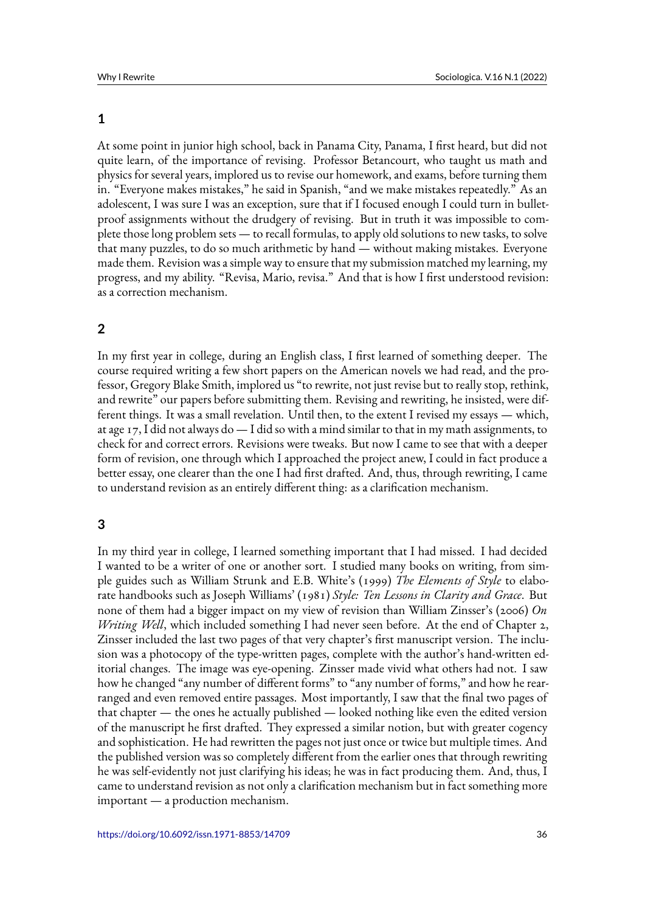### **1**

At some point in junior high school, back in Panama City, Panama, I first heard, but did not quite learn, of the importance of revising. Professor Betancourt, who taught us math and physics for several years, implored us to revise our homework, and exams, before turning them in. "Everyone makes mistakes," he said in Spanish, "and we make mistakes repeatedly." As an adolescent, I was sure I was an exception, sure that if I focused enough I could turn in bulletproof assignments without the drudgery of revising. But in truth it was impossible to complete those long problem sets — to recall formulas, to apply old solutions to new tasks, to solve that many puzzles, to do so much arithmetic by hand — without making mistakes. Everyone made them. Revision was a simple way to ensure that my submission matched my learning, my progress, and my ability. "Revisa, Mario, revisa." And that is how I first understood revision: as a correction mechanism.

## **2**

In my first year in college, during an English class, I first learned of something deeper. The course required writing a few short papers on the American novels we had read, and the professor, Gregory Blake Smith, implored us "to rewrite, not just revise but to really stop, rethink, and rewrite" our papers before submitting them. Revising and rewriting, he insisted, were different things. It was a small revelation. Until then, to the extent I revised my essays — which, at age 17, I did not always do  $-1$  did so with a mind similar to that in my math assignments, to check for and correct errors. Revisions were tweaks. But now I came to see that with a deeper form of revision, one through which I approached the project anew, I could in fact produce a better essay, one clearer than the one I had first drafted. And, thus, through rewriting, I came to understand revision as an entirely different thing: as a clarification mechanism.

# **3**

In my third year in college, I learned something important that I had missed. I had decided I wanted to be a writer of one or another sort. I studied many books on writing, from simple guides such as William Strunk and E.B. White's (1999) *The Elements of Style* to elaborate handbooks such as Joseph Williams' (1981) *Style: Ten Lessons in Clarity and Grace*. But none of them had a bigger impact on my view of revision than William Zinsser's (2006) *On Writing Well*, which included something I had never seen before. At the end of Chapter 2, Zinsser included the last two pages of that very chapter's first manuscript version. The inclusion was a photocopy of the type-written pages, complete with the author's hand-written editorial changes. The image was eye-opening. Zinsser made vivid what others had not. I saw how he changed "any number of different forms" to "any number of forms," and how he rearranged and even removed entire passages. Most importantly, I saw that the final two pages of that chapter — the ones he actually published — looked nothing like even the edited version of the manuscript he first drafted. They expressed a similar notion, but with greater cogency and sophistication. He had rewritten the pages not just once or twice but multiple times. And the published version was so completely different from the earlier ones that through rewriting he was self-evidently not just clarifying his ideas; he was in fact producing them. And, thus, I came to understand revision as not only a clarification mechanism but in fact something more important — a production mechanism.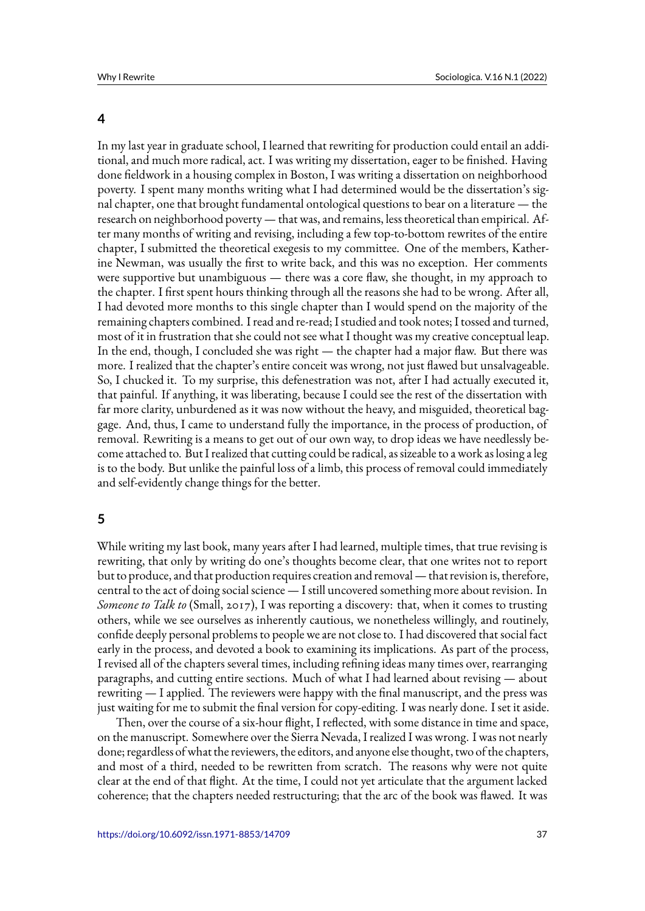#### **4**

In my last year in graduate school, I learned that rewriting for production could entail an additional, and much more radical, act. I was writing my dissertation, eager to be finished. Having done fieldwork in a housing complex in Boston, I was writing a dissertation on neighborhood poverty. I spent many months writing what I had determined would be the dissertation's signal chapter, one that brought fundamental ontological questions to bear on a literature — the research on neighborhood poverty— that was, and remains, less theoretical than empirical. After many months of writing and revising, including a few top-to-bottom rewrites of the entire chapter, I submitted the theoretical exegesis to my committee. One of the members, Katherine Newman, was usually the first to write back, and this was no exception. Her comments were supportive but unambiguous — there was a core flaw, she thought, in my approach to the chapter. I first spent hours thinking through all the reasons she had to be wrong. After all, I had devoted more months to this single chapter than I would spend on the majority of the remaining chapters combined. I read and re-read; I studied and took notes; I tossed and turned, most of it in frustration that she could not see what I thought was my creative conceptual leap. In the end, though, I concluded she was right — the chapter had a major flaw. But there was more. I realized that the chapter's entire conceit was wrong, not just flawed but unsalvageable. So, I chucked it. To my surprise, this defenestration was not, after I had actually executed it, that painful. If anything, it was liberating, because I could see the rest of the dissertation with far more clarity, unburdened as it was now without the heavy, and misguided, theoretical baggage. And, thus, I came to understand fully the importance, in the process of production, of removal. Rewriting is a means to get out of our own way, to drop ideas we have needlessly become attached to. But I realized that cutting could be radical, as sizeable to a work as losing a leg is to the body. But unlike the painful loss of a limb, this process of removal could immediately and self-evidently change things for the better.

### **5**

While writing my last book, many years after I had learned, multiple times, that true revising is rewriting, that only by writing do one's thoughts become clear, that one writes not to report but to produce, and that production requires creation and removal— that revision is, therefore, central to the act of doing social science — I still uncovered something more about revision. In *Someone to Talk to* (Small, 2017), I was reporting a discovery: that, when it comes to trusting others, while we see ourselves as inherently cautious, we nonetheless willingly, and routinely, confide deeply personal problems to people we are not close to. I had discovered that social fact early in the process, and devoted a book to examining its implications. As part of the process, I revised all of the chapters several times, including refining ideas many times over, rearranging paragraphs, and cutting entire sections. Much of what I had learned about revising — about rewriting — I applied. The reviewers were happy with the final manuscript, and the press was just waiting for me to submit the final version for copy-editing. I was nearly done. I set it aside.

Then, over the course of a six-hour flight, I reflected, with some distance in time and space, on the manuscript. Somewhere over the Sierra Nevada, I realized I was wrong. I was not nearly done; regardless of what the reviewers, the editors, and anyone else thought, two of the chapters, and most of a third, needed to be rewritten from scratch. The reasons why were not quite clear at the end of that flight. At the time, I could not yet articulate that the argument lacked coherence; that the chapters needed restructuring; that the arc of the book was flawed. It was